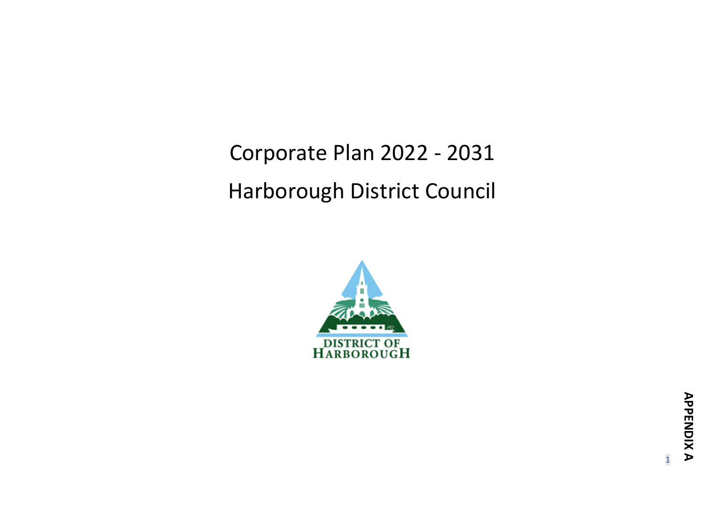Corporate Plan 2022 - 2031 Harborough District Council



1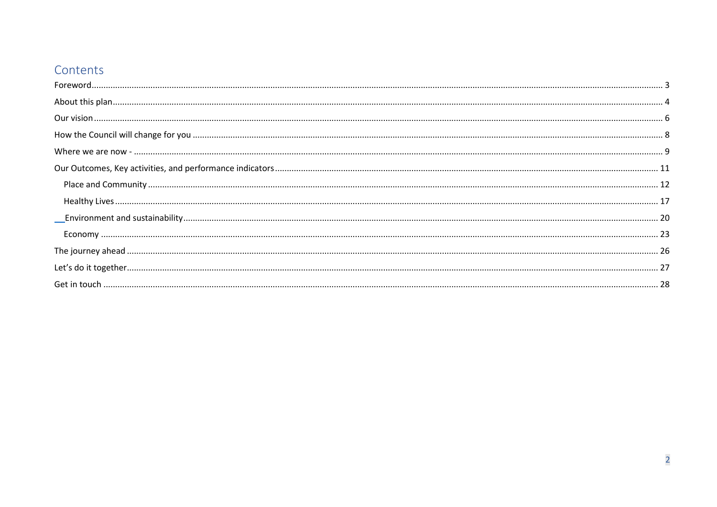# Contents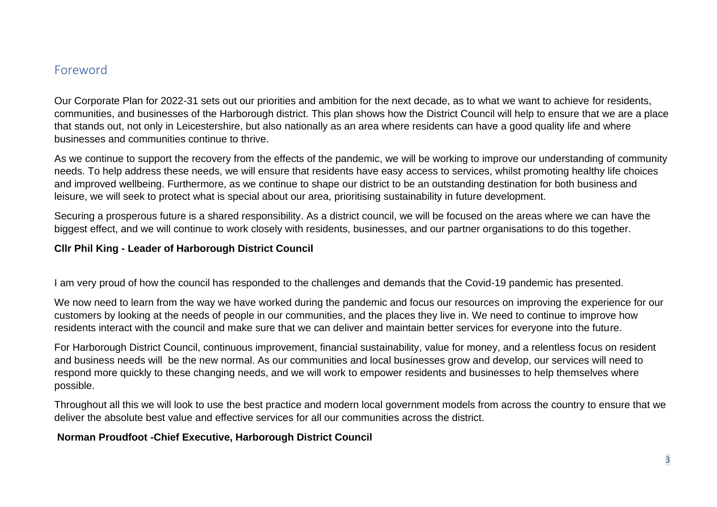### <span id="page-2-0"></span>Foreword

Our Corporate Plan for 2022-31 sets out our priorities and ambition for the next decade, as to what we want to achieve for residents, communities, and businesses of the Harborough district. This plan shows how the District Council will help to ensure that we are a place that stands out, not only in Leicestershire, but also nationally as an area where residents can have a good quality life and where businesses and communities continue to thrive.

As we continue to support the recovery from the effects of the pandemic, we will be working to improve our understanding of community needs. To help address these needs, we will ensure that residents have easy access to services, whilst promoting healthy life choices and improved wellbeing. Furthermore, as we continue to shape our district to be an outstanding destination for both business and leisure, we will seek to protect what is special about our area, prioritising sustainability in future development.

Securing a prosperous future is a shared responsibility. As a district council, we will be focused on the areas where we can have the biggest effect, and we will continue to work closely with residents, businesses, and our partner organisations to do this together.

### **Cllr Phil King - Leader of Harborough District Council**

I am very proud of how the council has responded to the challenges and demands that the Covid-19 pandemic has presented.

We now need to learn from the way we have worked during the pandemic and focus our resources on improving the experience for our customers by looking at the needs of people in our communities, and the places they live in. We need to continue to improve how residents interact with the council and make sure that we can deliver and maintain better services for everyone into the future.

For Harborough District Council, continuous improvement, financial sustainability, value for money, and a relentless focus on resident and business needs will be the new normal. As our communities and local businesses grow and develop, our services will need to respond more quickly to these changing needs, and we will work to empower residents and businesses to help themselves where possible.

Throughout all this we will look to use the best practice and modern local government models from across the country to ensure that we deliver the absolute best value and effective services for all our communities across the district.

### **Norman Proudfoot -Chief Executive, Harborough District Council**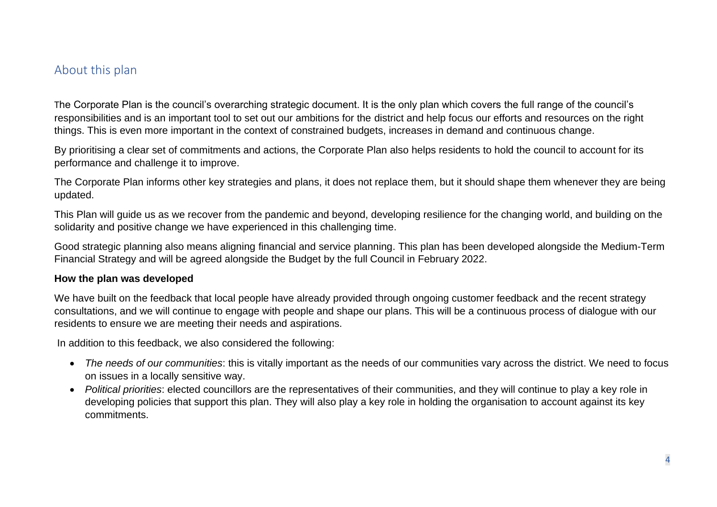## <span id="page-3-0"></span>About this plan

The Corporate Plan is the council's overarching strategic document. It is the only plan which covers the full range of the council's responsibilities and is an important tool to set out our ambitions for the district and help focus our efforts and resources on the right things. This is even more important in the context of constrained budgets, increases in demand and continuous change.

By prioritising a clear set of commitments and actions, the Corporate Plan also helps residents to hold the council to account for its performance and challenge it to improve.

The Corporate Plan informs other key strategies and plans, it does not replace them, but it should shape them whenever they are being updated.

This Plan will guide us as we recover from the pandemic and beyond, developing resilience for the changing world, and building on the solidarity and positive change we have experienced in this challenging time.

Good strategic planning also means aligning financial and service planning. This plan has been developed alongside the Medium-Term Financial Strategy and will be agreed alongside the Budget by the full Council in February 2022.

#### **How the plan was developed**

We have built on the feedback that local people have already provided through ongoing customer feedback and the recent strategy consultations, and we will continue to engage with people and shape our plans. This will be a continuous process of dialogue with our residents to ensure we are meeting their needs and aspirations.

In addition to this feedback, we also considered the following:

- *The needs of our communities*: this is vitally important as the needs of our communities vary across the district. We need to focus on issues in a locally sensitive way.
- *Political priorities*: elected councillors are the representatives of their communities, and they will continue to play a key role in developing policies that support this plan. They will also play a key role in holding the organisation to account against its key commitments.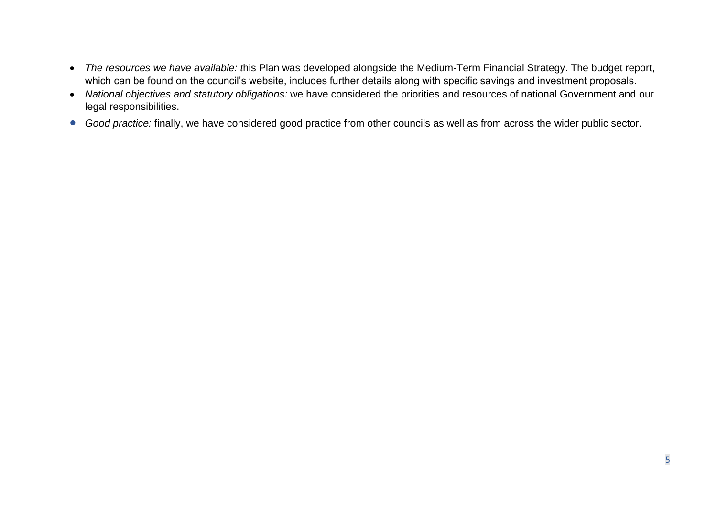- *The resources we have available: t*his Plan was developed alongside the Medium-Term Financial Strategy. The budget report, which can be found on the council's website, includes further details along with specific savings and investment proposals.
- *National objectives and statutory obligations:* we have considered the priorities and resources of national Government and our legal responsibilities.
- *Good practice:* finally, we have considered good practice from other councils as well as from across the wider public sector.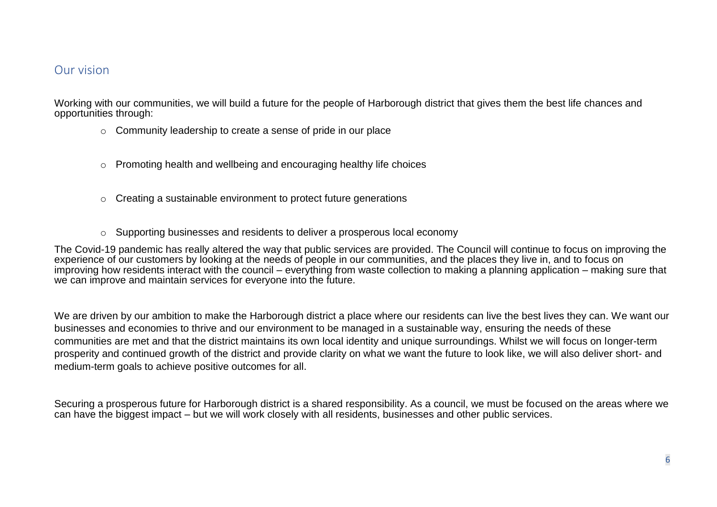### <span id="page-5-0"></span>Our vision

Working with our communities, we will build a future for the people of Harborough district that gives them the best life chances and opportunities through:

- o Community leadership to create a sense of pride in our place
- o Promoting health and wellbeing and encouraging healthy life choices
- o Creating a sustainable environment to protect future generations
- o Supporting businesses and residents to deliver a prosperous local economy

The Covid-19 pandemic has really altered the way that public services are provided. The Council will continue to focus on improving the experience of our customers by looking at the needs of people in our communities, and the places they live in, and to focus on improving how residents interact with the council – everything from waste collection to making a planning application – making sure that we can improve and maintain services for everyone into the future.

We are driven by our ambition to make the Harborough district a place where our residents can live the best lives they can. We want our businesses and economies to thrive and our environment to be managed in a sustainable way, ensuring the needs of these communities are met and that the district maintains its own local identity and unique surroundings. Whilst we will focus on longer-term prosperity and continued growth of the district and provide clarity on what we want the future to look like, we will also deliver short- and medium-term goals to achieve positive outcomes for all.

Securing a prosperous future for Harborough district is a shared responsibility. As a council, we must be focused on the areas where we can have the biggest impact – but we will work closely with all residents, businesses and other public services.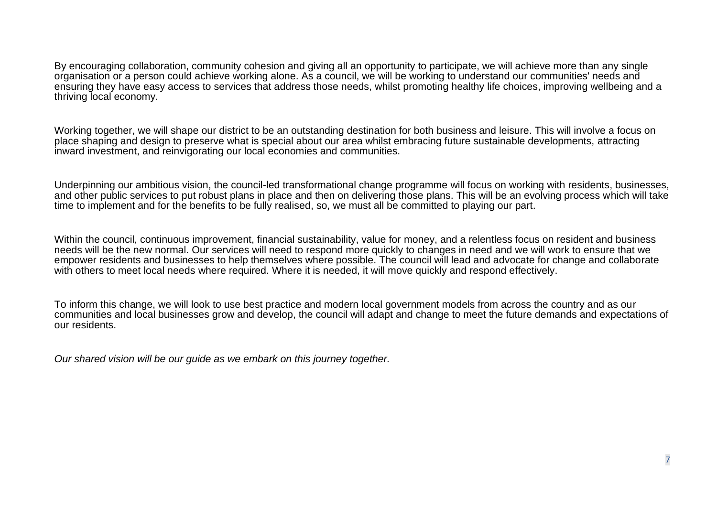By encouraging collaboration, community cohesion and giving all an opportunity to participate, we will achieve more than any single organisation or a person could achieve working alone. As a council, we will be working to understand our communities' needs and ensuring they have easy access to services that address those needs, whilst promoting healthy life choices, improving wellbeing and a thriving local economy.

Working together, we will shape our district to be an outstanding destination for both business and leisure. This will involve a focus on place shaping and design to preserve what is special about our area whilst embracing future sustainable developments, attracting inward investment, and reinvigorating our local economies and communities.

Underpinning our ambitious vision, the council-led transformational change programme will focus on working with residents, businesses, and other public services to put robust plans in place and then on delivering those plans. This will be an evolving process which will take time to implement and for the benefits to be fully realised, so, we must all be committed to playing our part.

Within the council, continuous improvement, financial sustainability, value for money, and a relentless focus on resident and business needs will be the new normal. Our services will need to respond more quickly to changes in need and we will work to ensure that we empower residents and businesses to help themselves where possible. The council will lead and advocate for change and collaborate with others to meet local needs where required. Where it is needed, it will move quickly and respond effectively.

To inform this change, we will look to use best practice and modern local government models from across the country and as our communities and local businesses grow and develop, the council will adapt and change to meet the future demands and expectations of our residents.

*Our shared vision will be our guide as we embark on this journey together.*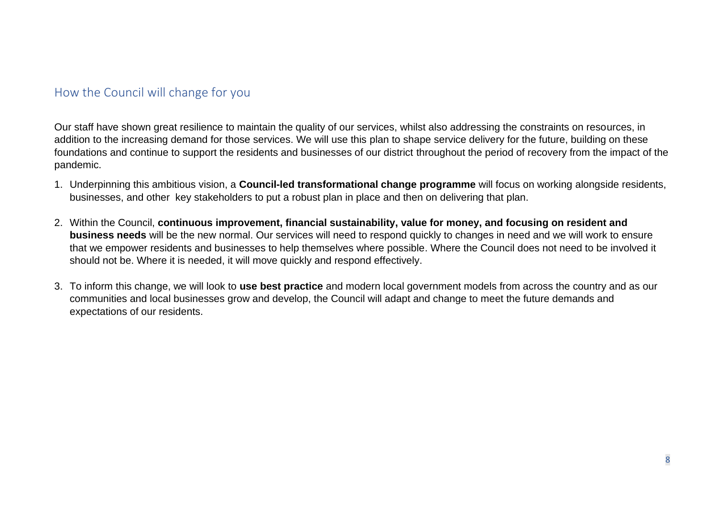## <span id="page-7-0"></span>How the Council will change for you

Our staff have shown great resilience to maintain the quality of our services, whilst also addressing the constraints on resources, in addition to the increasing demand for those services. We will use this plan to shape service delivery for the future, building on these foundations and continue to support the residents and businesses of our district throughout the period of recovery from the impact of the pandemic.

- 1. Underpinning this ambitious vision, a **Council-led transformational change programme** will focus on working alongside residents, businesses, and other key stakeholders to put a robust plan in place and then on delivering that plan.
- 2. Within the Council, **continuous improvement, financial sustainability, value for money, and focusing on resident and business needs** will be the new normal. Our services will need to respond quickly to changes in need and we will work to ensure that we empower residents and businesses to help themselves where possible. Where the Council does not need to be involved it should not be. Where it is needed, it will move quickly and respond effectively.
- 3. To inform this change, we will look to **use best practice** and modern local government models from across the country and as our communities and local businesses grow and develop, the Council will adapt and change to meet the future demands and expectations of our residents.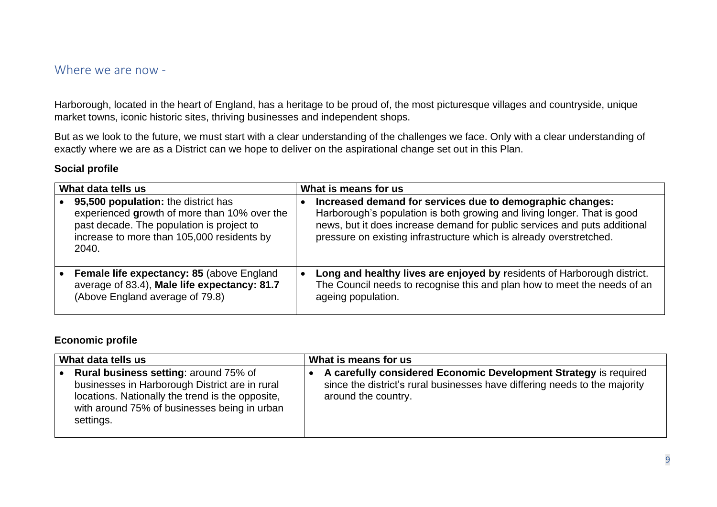### <span id="page-8-0"></span>Where we are now -

Harborough, located in the heart of England, has a heritage to be proud of, the most picturesque villages and countryside, unique market towns, iconic historic sites, thriving businesses and independent shops.

But as we look to the future, we must start with a clear understanding of the challenges we face. Only with a clear understanding of exactly where we are as a District can we hope to deliver on the aspirational change set out in this Plan.

#### **Social profile**

| What data tells us |                                                                                                                                                                                         |           | What is means for us                                                                                                                                                                                                                                                                     |  |
|--------------------|-----------------------------------------------------------------------------------------------------------------------------------------------------------------------------------------|-----------|------------------------------------------------------------------------------------------------------------------------------------------------------------------------------------------------------------------------------------------------------------------------------------------|--|
|                    | 95,500 population: the district has<br>experienced growth of more than 10% over the<br>past decade. The population is project to<br>increase to more than 105,000 residents by<br>2040. |           | Increased demand for services due to demographic changes:<br>Harborough's population is both growing and living longer. That is good<br>news, but it does increase demand for public services and puts additional<br>pressure on existing infrastructure which is already overstretched. |  |
|                    | <b>Female life expectancy: 85 (above England)</b><br>average of 83.4), Male life expectancy: 81.7<br>(Above England average of 79.8)                                                    | $\bullet$ | Long and healthy lives are enjoyed by residents of Harborough district.<br>The Council needs to recognise this and plan how to meet the needs of an<br>ageing population.                                                                                                                |  |

#### **Economic profile**

| What data tells us                                                                                                                                                                                       | What is means for us                                                                                                                                                  |
|----------------------------------------------------------------------------------------------------------------------------------------------------------------------------------------------------------|-----------------------------------------------------------------------------------------------------------------------------------------------------------------------|
| Rural business setting: around 75% of<br>businesses in Harborough District are in rural<br>locations. Nationally the trend is the opposite,<br>with around 75% of businesses being in urban<br>settings. | A carefully considered Economic Development Strategy is required<br>since the district's rural businesses have differing needs to the majority<br>around the country. |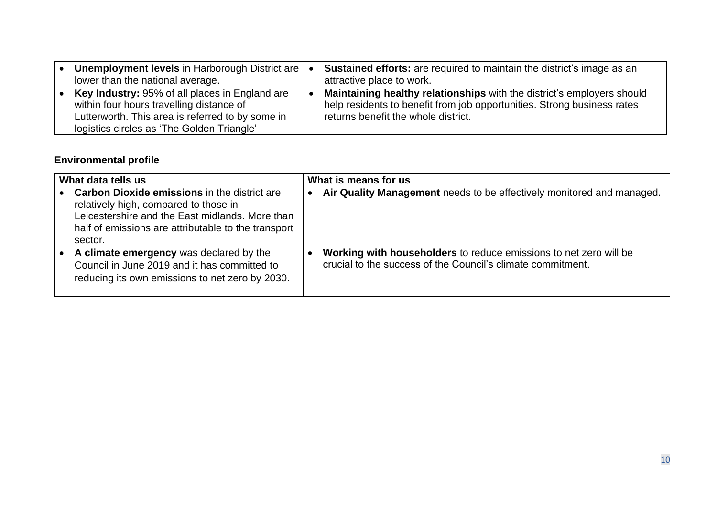| Unemployment levels in Harborough District are<br>lower than the national average.                                                                                                           | <b>Sustained efforts:</b> are required to maintain the district's image as an<br>attractive place to work.                                                                               |
|----------------------------------------------------------------------------------------------------------------------------------------------------------------------------------------------|------------------------------------------------------------------------------------------------------------------------------------------------------------------------------------------|
| Key Industry: 95% of all places in England are<br>within four hours travelling distance of<br>Lutterworth. This area is referred to by some in<br>logistics circles as 'The Golden Triangle' | Maintaining healthy relationships with the district's employers should<br>help residents to benefit from job opportunities. Strong business rates<br>returns benefit the whole district. |

# **Environmental profile**

| What data tells us                                                                                                                                                                                                | What is means for us                                                                                                             |
|-------------------------------------------------------------------------------------------------------------------------------------------------------------------------------------------------------------------|----------------------------------------------------------------------------------------------------------------------------------|
| <b>Carbon Dioxide emissions in the district are</b><br>relatively high, compared to those in<br>Leicestershire and the East midlands. More than<br>half of emissions are attributable to the transport<br>sector. | Air Quality Management needs to be effectively monitored and managed.                                                            |
| A climate emergency was declared by the<br>Council in June 2019 and it has committed to<br>reducing its own emissions to net zero by 2030.                                                                        | Working with householders to reduce emissions to net zero will be<br>crucial to the success of the Council's climate commitment. |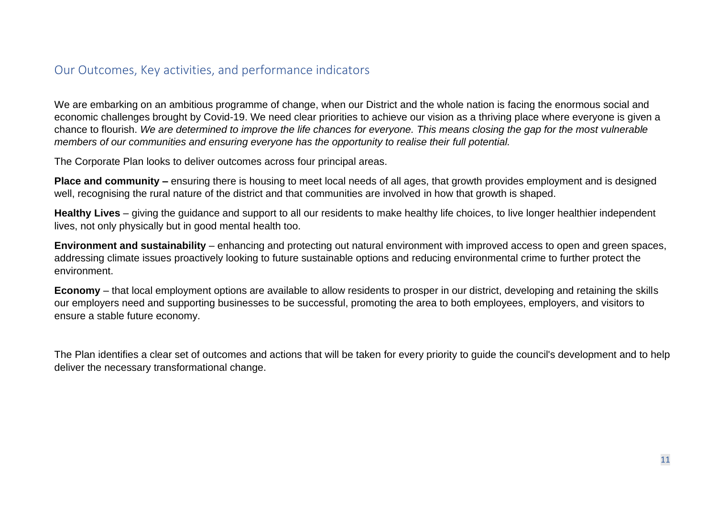## <span id="page-10-0"></span>Our Outcomes, Key activities, and performance indicators

We are embarking on an ambitious programme of change, when our District and the whole nation is facing the enormous social and economic challenges brought by Covid-19. We need clear priorities to achieve our vision as a thriving place where everyone is given a chance to flourish. *We are determined to improve the life chances for everyone. This means closing the gap for the most vulnerable members of our communities and ensuring everyone has the opportunity to realise their full potential.*

The Corporate Plan looks to deliver outcomes across four principal areas.

**Place and community –** ensuring there is housing to meet local needs of all ages, that growth provides employment and is designed well, recognising the rural nature of the district and that communities are involved in how that growth is shaped.

**Healthy Lives** – giving the guidance and support to all our residents to make healthy life choices, to live longer healthier independent lives, not only physically but in good mental health too.

**Environment and sustainability** – enhancing and protecting out natural environment with improved access to open and green spaces, addressing climate issues proactively looking to future sustainable options and reducing environmental crime to further protect the environment.

**Economy** – that local employment options are available to allow residents to prosper in our district, developing and retaining the skills our employers need and supporting businesses to be successful, promoting the area to both employees, employers, and visitors to ensure a stable future economy.

The Plan identifies a clear set of outcomes and actions that will be taken for every priority to guide the council's development and to help deliver the necessary transformational change.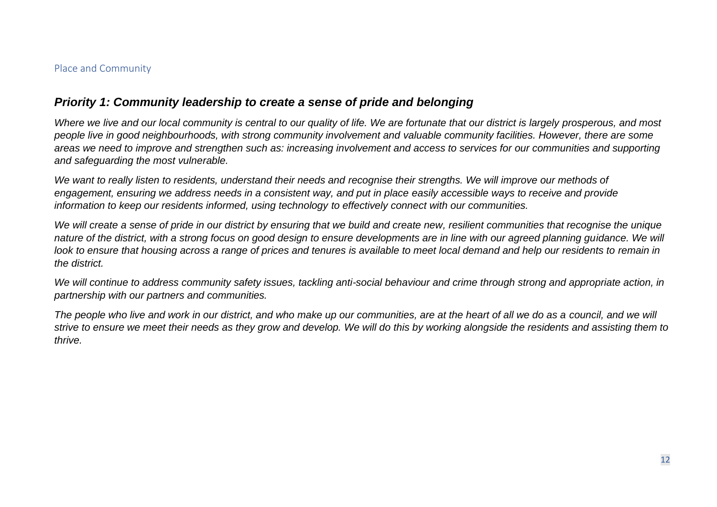### <span id="page-11-0"></span>Place and Community

### *Priority 1: Community leadership to create a sense of pride and belonging*

*Where we live and our local community is central to our quality of life. We are fortunate that our district is largely prosperous, and most people live in good neighbourhoods, with strong community involvement and valuable community facilities. However, there are some areas we need to improve and strengthen such as: increasing involvement and access to services for our communities and supporting and safeguarding the most vulnerable.*

We want to really listen to residents, understand their needs and recognise their strengths. We will improve our methods of *engagement, ensuring we address needs in a consistent way, and put in place easily accessible ways to receive and provide information to keep our residents informed, using technology to effectively connect with our communities.*

*We will create a sense of pride in our district by ensuring that we build and create new, resilient communities that recognise the unique nature of the district, with a strong focus on good design to ensure developments are in line with our agreed planning guidance. We will look to ensure that housing across a range of prices and tenures is available to meet local demand and help our residents to remain in the district.*

We will continue to address community safety issues, tackling anti-social behaviour and crime through strong and appropriate action, in *partnership with our partners and communities.*

*The people who live and work in our district, and who make up our communities, are at the heart of all we do as a council, and we will strive to ensure we meet their needs as they grow and develop. We will do this by working alongside the residents and assisting them to thrive.*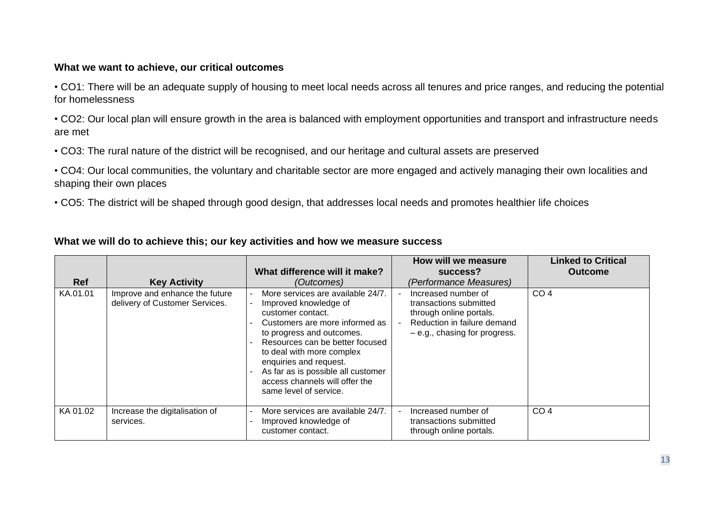### **What we want to achieve, our critical outcomes**

• CO1: There will be an adequate supply of housing to meet local needs across all tenures and price ranges, and reducing the potential for homelessness

• CO2: Our local plan will ensure growth in the area is balanced with employment opportunities and transport and infrastructure needs are met

• CO3: The rural nature of the district will be recognised, and our heritage and cultural assets are preserved

• CO4: Our local communities, the voluntary and charitable sector are more engaged and actively managing their own localities and shaping their own places

• CO5: The district will be shaped through good design, that addresses local needs and promotes healthier life choices

### **What we will do to achieve this; our key activities and how we measure success**

| <b>Ref</b> | <b>Key Activity</b>                                              | What difference will it make?<br>(Outcomes)                                                                                                                                                                                                                                                                                                | How will we measure<br>success?<br>(Performance Measures)                                                                                 | <b>Linked to Critical</b><br><b>Outcome</b> |
|------------|------------------------------------------------------------------|--------------------------------------------------------------------------------------------------------------------------------------------------------------------------------------------------------------------------------------------------------------------------------------------------------------------------------------------|-------------------------------------------------------------------------------------------------------------------------------------------|---------------------------------------------|
| KA.01.01   | Improve and enhance the future<br>delivery of Customer Services. | More services are available 24/7.<br>Improved knowledge of<br>customer contact.<br>Customers are more informed as<br>to progress and outcomes.<br>Resources can be better focused<br>to deal with more complex<br>enquiries and request.<br>As far as is possible all customer<br>access channels will offer the<br>same level of service. | Increased number of<br>transactions submitted<br>through online portals.<br>Reduction in failure demand<br>$-e.g., chasing for progress.$ | CO <sub>4</sub>                             |
| KA 01.02   | Increase the digitalisation of<br>services.                      | More services are available 24/7.<br>Improved knowledge of<br>customer contact.                                                                                                                                                                                                                                                            | Increased number of<br>transactions submitted<br>through online portals.                                                                  | CO <sub>4</sub>                             |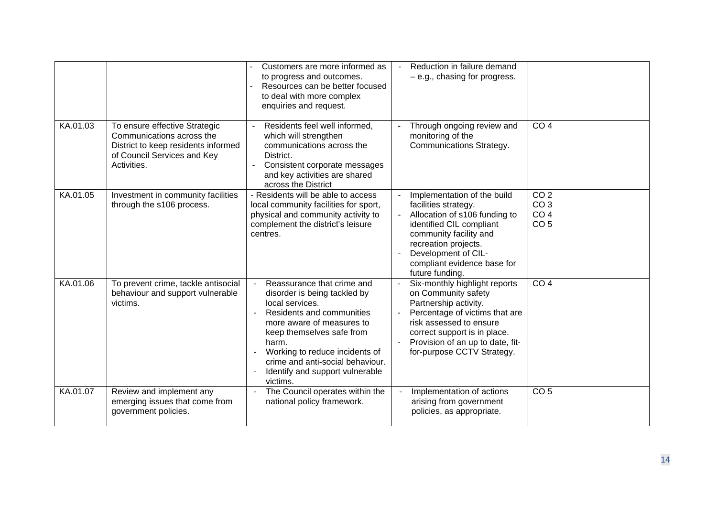|          |                                                                                                                                                 | Customers are more informed as<br>to progress and outcomes.<br>Resources can be better focused<br>to deal with more complex<br>enquiries and request.                                                                                                                                              | Reduction in failure demand<br>$-e.g.,chasing for progress.$                                                                                                                                                                                 |                                                                          |
|----------|-------------------------------------------------------------------------------------------------------------------------------------------------|----------------------------------------------------------------------------------------------------------------------------------------------------------------------------------------------------------------------------------------------------------------------------------------------------|----------------------------------------------------------------------------------------------------------------------------------------------------------------------------------------------------------------------------------------------|--------------------------------------------------------------------------|
| KA.01.03 | To ensure effective Strategic<br>Communications across the<br>District to keep residents informed<br>of Council Services and Key<br>Activities. | Residents feel well informed,<br>which will strengthen<br>communications across the<br>District.<br>Consistent corporate messages<br>and key activities are shared<br>across the District                                                                                                          | Through ongoing review and<br>monitoring of the<br>Communications Strategy.                                                                                                                                                                  | CO <sub>4</sub>                                                          |
| KA.01.05 | Investment in community facilities<br>through the s106 process.                                                                                 | - Residents will be able to access<br>local community facilities for sport,<br>physical and community activity to<br>complement the district's leisure<br>centres.                                                                                                                                 | Implementation of the build<br>facilities strategy.<br>Allocation of s106 funding to<br>identified CIL compliant<br>community facility and<br>recreation projects.<br>Development of CIL-<br>compliant evidence base for<br>future funding.  | CO <sub>2</sub><br>CO <sub>3</sub><br>CO <sub>4</sub><br>CO <sub>5</sub> |
| KA.01.06 | To prevent crime, tackle antisocial<br>behaviour and support vulnerable<br>victims.                                                             | Reassurance that crime and<br>disorder is being tackled by<br>local services.<br>Residents and communities<br>more aware of measures to<br>keep themselves safe from<br>harm.<br>Working to reduce incidents of<br>crime and anti-social behaviour.<br>Identify and support vulnerable<br>victims. | Six-monthly highlight reports<br>on Community safety<br>Partnership activity.<br>Percentage of victims that are<br>risk assessed to ensure<br>correct support is in place.<br>Provision of an up to date, fit-<br>for-purpose CCTV Strategy. | CO <sub>4</sub>                                                          |
| KA.01.07 | Review and implement any<br>emerging issues that come from<br>government policies.                                                              | The Council operates within the<br>national policy framework.                                                                                                                                                                                                                                      | Implementation of actions<br>arising from government<br>policies, as appropriate.                                                                                                                                                            | CO <sub>5</sub>                                                          |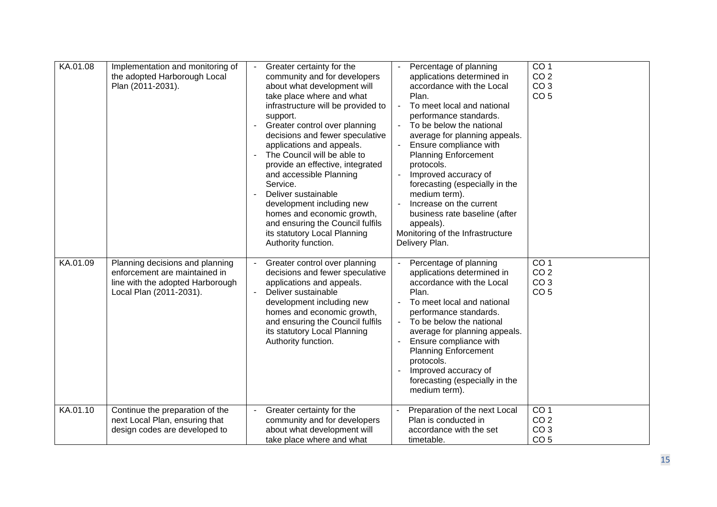| KA.01.08 | Implementation and monitoring of<br>the adopted Harborough Local<br>Plan (2011-2031).                                           | Greater certainty for the<br>community and for developers<br>about what development will<br>take place where and what<br>infrastructure will be provided to<br>support.<br>Greater control over planning<br>decisions and fewer speculative<br>applications and appeals.<br>The Council will be able to<br>provide an effective, integrated<br>and accessible Planning<br>Service.<br>Deliver sustainable<br>development including new<br>homes and economic growth,<br>and ensuring the Council fulfils<br>its statutory Local Planning<br>Authority function. | Percentage of planning<br>applications determined in<br>accordance with the Local<br>Plan.<br>To meet local and national<br>$\overline{a}$<br>performance standards.<br>To be below the national<br>average for planning appeals.<br>Ensure compliance with<br><b>Planning Enforcement</b><br>protocols.<br>Improved accuracy of<br>forecasting (especially in the<br>medium term).<br>Increase on the current<br>business rate baseline (after<br>appeals).<br>Monitoring of the Infrastructure<br>Delivery Plan. | CO <sub>1</sub><br>CO <sub>2</sub><br>CO <sub>3</sub><br>CO <sub>5</sub> |
|----------|---------------------------------------------------------------------------------------------------------------------------------|-----------------------------------------------------------------------------------------------------------------------------------------------------------------------------------------------------------------------------------------------------------------------------------------------------------------------------------------------------------------------------------------------------------------------------------------------------------------------------------------------------------------------------------------------------------------|--------------------------------------------------------------------------------------------------------------------------------------------------------------------------------------------------------------------------------------------------------------------------------------------------------------------------------------------------------------------------------------------------------------------------------------------------------------------------------------------------------------------|--------------------------------------------------------------------------|
| KA.01.09 | Planning decisions and planning<br>enforcement are maintained in<br>line with the adopted Harborough<br>Local Plan (2011-2031). | Greater control over planning<br>decisions and fewer speculative<br>applications and appeals.<br>Deliver sustainable<br>development including new<br>homes and economic growth,<br>and ensuring the Council fulfils<br>its statutory Local Planning<br>Authority function.                                                                                                                                                                                                                                                                                      | Percentage of planning<br>applications determined in<br>accordance with the Local<br>Plan.<br>To meet local and national<br>performance standards.<br>To be below the national<br>average for planning appeals.<br>Ensure compliance with<br><b>Planning Enforcement</b><br>protocols.<br>Improved accuracy of<br>forecasting (especially in the<br>medium term).                                                                                                                                                  | CO <sub>1</sub><br>CO <sub>2</sub><br>CO <sub>3</sub><br>CO <sub>5</sub> |
| KA.01.10 | Continue the preparation of the<br>next Local Plan, ensuring that<br>design codes are developed to                              | Greater certainty for the<br>community and for developers<br>about what development will<br>take place where and what                                                                                                                                                                                                                                                                                                                                                                                                                                           | Preparation of the next Local<br>Plan is conducted in<br>accordance with the set<br>timetable.                                                                                                                                                                                                                                                                                                                                                                                                                     | CO <sub>1</sub><br>CO <sub>2</sub><br>CO <sub>3</sub><br>CO <sub>5</sub> |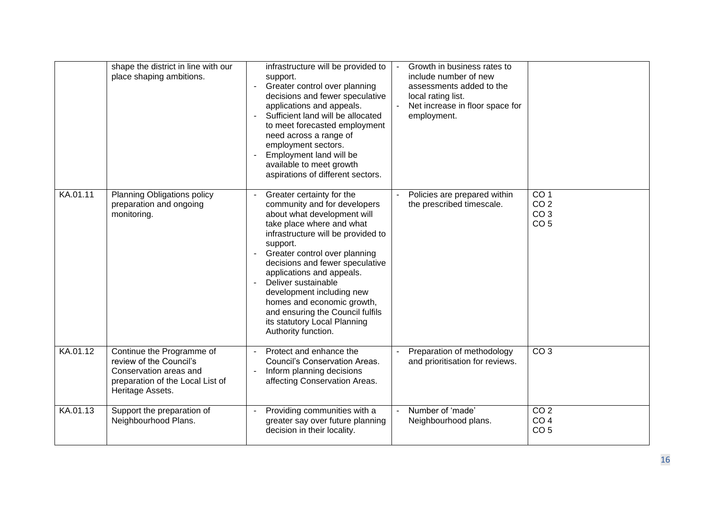|          | shape the district in line with our<br>place shaping ambitions.                                                                        | infrastructure will be provided to<br>support.<br>Greater control over planning<br>decisions and fewer speculative<br>applications and appeals.<br>Sufficient land will be allocated<br>to meet forecasted employment<br>need across a range of<br>employment sectors.<br>Employment land will be<br>available to meet growth<br>aspirations of different sectors.                                                                                    | Growth in business rates to<br>include number of new<br>assessments added to the<br>local rating list.<br>Net increase in floor space for<br>employment. |                                                                          |
|----------|----------------------------------------------------------------------------------------------------------------------------------------|-------------------------------------------------------------------------------------------------------------------------------------------------------------------------------------------------------------------------------------------------------------------------------------------------------------------------------------------------------------------------------------------------------------------------------------------------------|----------------------------------------------------------------------------------------------------------------------------------------------------------|--------------------------------------------------------------------------|
| KA.01.11 | Planning Obligations policy<br>preparation and ongoing<br>monitoring.                                                                  | Greater certainty for the<br>community and for developers<br>about what development will<br>take place where and what<br>infrastructure will be provided to<br>support.<br>Greater control over planning<br>decisions and fewer speculative<br>applications and appeals.<br>Deliver sustainable<br>development including new<br>homes and economic growth,<br>and ensuring the Council fulfils<br>its statutory Local Planning<br>Authority function. | Policies are prepared within<br>the prescribed timescale.                                                                                                | CO <sub>1</sub><br>CO <sub>2</sub><br>CO <sub>3</sub><br>CO <sub>5</sub> |
| KA.01.12 | Continue the Programme of<br>review of the Council's<br>Conservation areas and<br>preparation of the Local List of<br>Heritage Assets. | Protect and enhance the<br>Council's Conservation Areas.<br>Inform planning decisions<br>affecting Conservation Areas.                                                                                                                                                                                                                                                                                                                                | Preparation of methodology<br>and prioritisation for reviews.                                                                                            | CO <sub>3</sub>                                                          |
| KA.01.13 | Support the preparation of<br>Neighbourhood Plans.                                                                                     | Providing communities with a<br>greater say over future planning<br>decision in their locality.                                                                                                                                                                                                                                                                                                                                                       | Number of 'made'<br>$\blacksquare$<br>Neighbourhood plans.                                                                                               | CO <sub>2</sub><br>CO <sub>4</sub><br>CO <sub>5</sub>                    |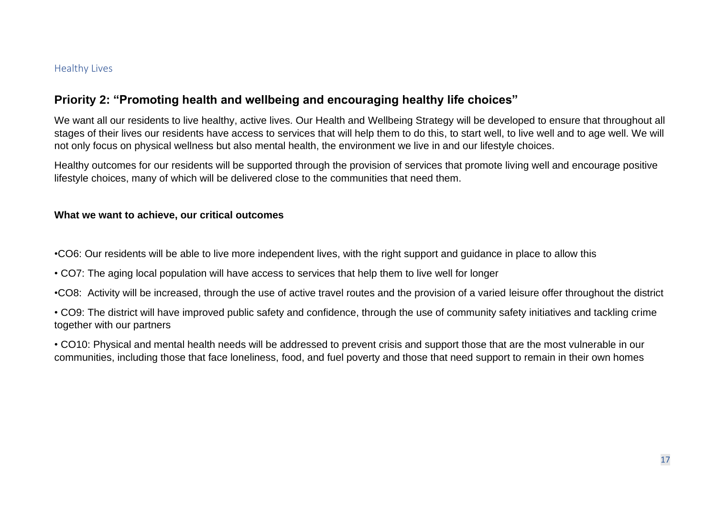### <span id="page-16-0"></span>Healthy Lives

### **Priority 2: "Promoting health and wellbeing and encouraging healthy life choices"**

We want all our residents to live healthy, active lives. Our Health and Wellbeing Strategy will be developed to ensure that throughout all stages of their lives our residents have access to services that will help them to do this, to start well, to live well and to age well. We will not only focus on physical wellness but also mental health, the environment we live in and our lifestyle choices.

Healthy outcomes for our residents will be supported through the provision of services that promote living well and encourage positive lifestyle choices, many of which will be delivered close to the communities that need them.

### **What we want to achieve, our critical outcomes**

•CO6: Our residents will be able to live more independent lives, with the right support and guidance in place to allow this

• CO7: The aging local population will have access to services that help them to live well for longer

•CO8: Activity will be increased, through the use of active travel routes and the provision of a varied leisure offer throughout the district

• CO9: The district will have improved public safety and confidence, through the use of community safety initiatives and tackling crime together with our partners

• CO10: Physical and mental health needs will be addressed to prevent crisis and support those that are the most vulnerable in our communities, including those that face loneliness, food, and fuel poverty and those that need support to remain in their own homes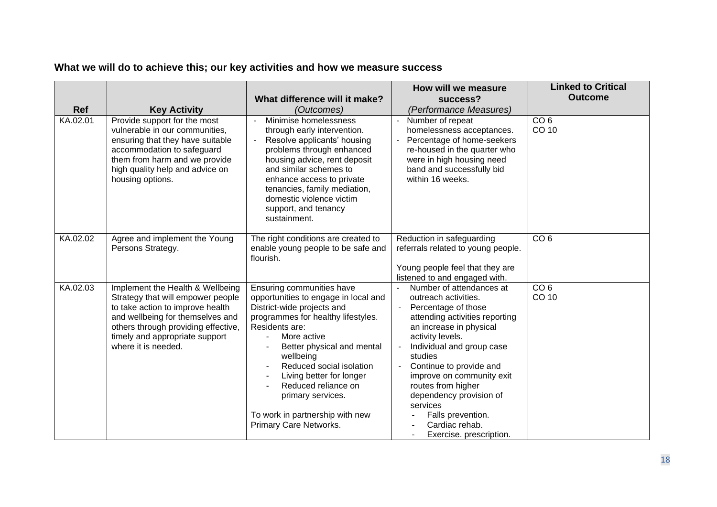|            |                                                                                                                                                                                                                                               |                                                                                                                                                                                                                                                                                                                                                                                    | How will we measure                                                                                                                                                                                                                                                                                                                                                                                                                   | <b>Linked to Critical</b> |
|------------|-----------------------------------------------------------------------------------------------------------------------------------------------------------------------------------------------------------------------------------------------|------------------------------------------------------------------------------------------------------------------------------------------------------------------------------------------------------------------------------------------------------------------------------------------------------------------------------------------------------------------------------------|---------------------------------------------------------------------------------------------------------------------------------------------------------------------------------------------------------------------------------------------------------------------------------------------------------------------------------------------------------------------------------------------------------------------------------------|---------------------------|
|            |                                                                                                                                                                                                                                               | What difference will it make?                                                                                                                                                                                                                                                                                                                                                      | success?                                                                                                                                                                                                                                                                                                                                                                                                                              | <b>Outcome</b>            |
| <b>Ref</b> | <b>Key Activity</b>                                                                                                                                                                                                                           | (Outcomes)                                                                                                                                                                                                                                                                                                                                                                         | (Performance Measures)                                                                                                                                                                                                                                                                                                                                                                                                                |                           |
| KA.02.01   | Provide support for the most<br>vulnerable in our communities,<br>ensuring that they have suitable<br>accommodation to safeguard<br>them from harm and we provide<br>high quality help and advice on<br>housing options.                      | Minimise homelessness<br>through early intervention.<br>Resolve applicants' housing<br>$\blacksquare$<br>problems through enhanced<br>housing advice, rent deposit<br>and similar schemes to<br>enhance access to private<br>tenancies, family mediation,<br>domestic violence victim<br>support, and tenancy<br>sustainment.                                                      | Number of repeat<br>$\blacksquare$<br>homelessness acceptances.<br>Percentage of home-seekers<br>re-housed in the quarter who<br>were in high housing need<br>band and successfully bid<br>within 16 weeks.                                                                                                                                                                                                                           | CO <sub>6</sub><br>CO 10  |
| KA.02.02   | Agree and implement the Young<br>Persons Strategy.                                                                                                                                                                                            | The right conditions are created to<br>enable young people to be safe and<br>flourish.                                                                                                                                                                                                                                                                                             | Reduction in safeguarding<br>referrals related to young people.<br>Young people feel that they are<br>listened to and engaged with.                                                                                                                                                                                                                                                                                                   | CO <sub>6</sub>           |
| KA.02.03   | Implement the Health & Wellbeing<br>Strategy that will empower people<br>to take action to improve health<br>and wellbeing for themselves and<br>others through providing effective,<br>timely and appropriate support<br>where it is needed. | Ensuring communities have<br>opportunities to engage in local and<br>District-wide projects and<br>programmes for healthy lifestyles.<br>Residents are:<br>More active<br>Better physical and mental<br>wellbeing<br>Reduced social isolation<br>Living better for longer<br>Reduced reliance on<br>primary services.<br>To work in partnership with new<br>Primary Care Networks. | Number of attendances at<br>outreach activities.<br>Percentage of those<br>attending activities reporting<br>an increase in physical<br>activity levels.<br>Individual and group case<br>$\overline{\phantom{a}}$<br>studies<br>Continue to provide and<br>$\blacksquare$<br>improve on community exit<br>routes from higher<br>dependency provision of<br>services<br>Falls prevention.<br>Cardiac rehab.<br>Exercise. prescription. | CO <sub>6</sub><br>CO 10  |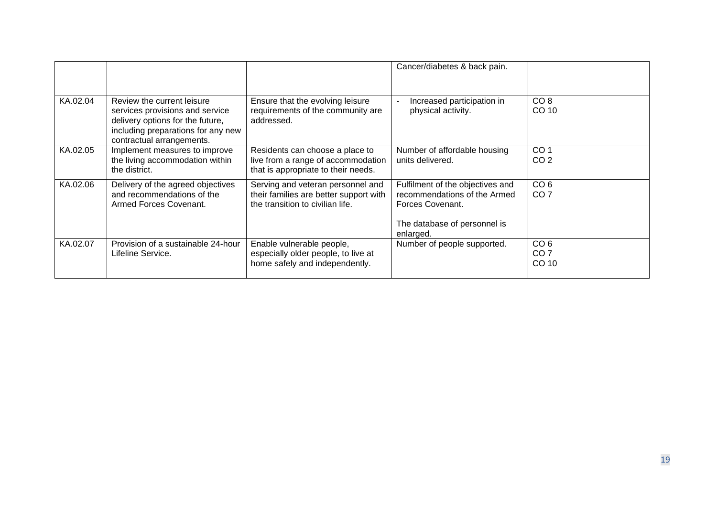|          |                                                                                                                                                                      |                                                                                                                 | Cancer/diabetes & back pain.                                                                                                      |                                             |
|----------|----------------------------------------------------------------------------------------------------------------------------------------------------------------------|-----------------------------------------------------------------------------------------------------------------|-----------------------------------------------------------------------------------------------------------------------------------|---------------------------------------------|
| KA.02.04 | Review the current leisure<br>services provisions and service<br>delivery options for the future,<br>including preparations for any new<br>contractual arrangements. | Ensure that the evolving leisure<br>requirements of the community are<br>addressed.                             | Increased participation in<br>physical activity.                                                                                  | CO <sub>8</sub><br>CO 10                    |
| KA.02.05 | Implement measures to improve<br>the living accommodation within<br>the district.                                                                                    | Residents can choose a place to<br>live from a range of accommodation<br>that is appropriate to their needs.    | Number of affordable housing<br>units delivered.                                                                                  | CO <sub>1</sub><br>CO <sub>2</sub>          |
| KA.02.06 | Delivery of the agreed objectives<br>and recommendations of the<br>Armed Forces Covenant.                                                                            | Serving and veteran personnel and<br>their families are better support with<br>the transition to civilian life. | Fulfilment of the objectives and<br>recommendations of the Armed<br>Forces Covenant.<br>The database of personnel is<br>enlarged. | CO <sub>6</sub><br>CO <sub>7</sub>          |
| KA.02.07 | Provision of a sustainable 24-hour<br>Lifeline Service.                                                                                                              | Enable vulnerable people,<br>especially older people, to live at<br>home safely and independently.              | Number of people supported.                                                                                                       | CO <sub>6</sub><br>CO <sub>7</sub><br>CO 10 |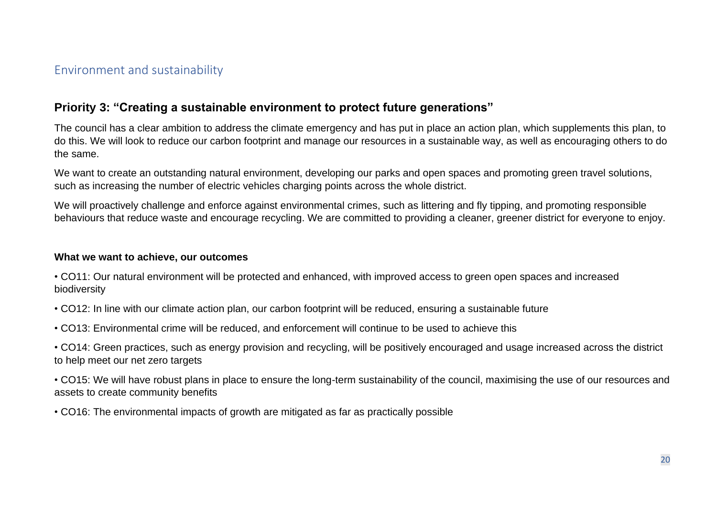### <span id="page-19-0"></span>Environment and sustainability

### **Priority 3: "Creating a sustainable environment to protect future generations"**

The council has a clear ambition to address the climate emergency and has put in place an action plan, which supplements this plan, to do this. We will look to reduce our carbon footprint and manage our resources in a sustainable way, as well as encouraging others to do the same.

We want to create an outstanding natural environment, developing our parks and open spaces and promoting green travel solutions, such as increasing the number of electric vehicles charging points across the whole district.

We will proactively challenge and enforce against environmental crimes, such as littering and fly tipping, and promoting responsible behaviours that reduce waste and encourage recycling. We are committed to providing a cleaner, greener district for everyone to enjoy.

#### **What we want to achieve, our outcomes**

• CO11: Our natural environment will be protected and enhanced, with improved access to green open spaces and increased biodiversity

• CO12: In line with our climate action plan, our carbon footprint will be reduced, ensuring a sustainable future

• CO13: Environmental crime will be reduced, and enforcement will continue to be used to achieve this

• CO14: Green practices, such as energy provision and recycling, will be positively encouraged and usage increased across the district to help meet our net zero targets

• CO15: We will have robust plans in place to ensure the long-term sustainability of the council, maximising the use of our resources and assets to create community benefits

• CO16: The environmental impacts of growth are mitigated as far as practically possible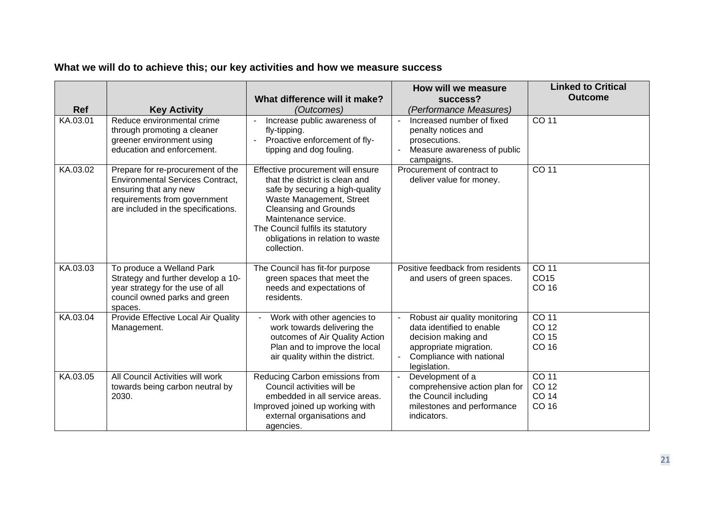|            |                                                                                                                                                                              | What difference will it make?                                                                                                                                                                                                                                                      | How will we measure<br>success?                                                                                                                         | <b>Linked to Critical</b><br><b>Outcome</b> |
|------------|------------------------------------------------------------------------------------------------------------------------------------------------------------------------------|------------------------------------------------------------------------------------------------------------------------------------------------------------------------------------------------------------------------------------------------------------------------------------|---------------------------------------------------------------------------------------------------------------------------------------------------------|---------------------------------------------|
| <b>Ref</b> | <b>Key Activity</b>                                                                                                                                                          | (Outcomes)                                                                                                                                                                                                                                                                         | (Performance Measures)                                                                                                                                  |                                             |
| KA.03.01   | Reduce environmental crime<br>through promoting a cleaner<br>greener environment using<br>education and enforcement.                                                         | Increase public awareness of<br>fly-tipping.<br>Proactive enforcement of fly-<br>tipping and dog fouling.                                                                                                                                                                          | Increased number of fixed<br>penalty notices and<br>prosecutions.<br>Measure awareness of public<br>campaigns.                                          | CO 11                                       |
| KA.03.02   | Prepare for re-procurement of the<br><b>Environmental Services Contract,</b><br>ensuring that any new<br>requirements from government<br>are included in the specifications. | Effective procurement will ensure<br>that the district is clean and<br>safe by securing a high-quality<br>Waste Management, Street<br><b>Cleansing and Grounds</b><br>Maintenance service.<br>The Council fulfils its statutory<br>obligations in relation to waste<br>collection. | Procurement of contract to<br>deliver value for money.                                                                                                  | CO 11                                       |
| KA.03.03   | To produce a Welland Park<br>Strategy and further develop a 10-<br>year strategy for the use of all<br>council owned parks and green<br>spaces.                              | The Council has fit-for purpose<br>green spaces that meet the<br>needs and expectations of<br>residents.                                                                                                                                                                           | Positive feedback from residents<br>and users of green spaces.                                                                                          | CO 11<br>CO15<br>CO 16                      |
| KA.03.04   | Provide Effective Local Air Quality<br>Management.                                                                                                                           | Work with other agencies to<br>work towards delivering the<br>outcomes of Air Quality Action<br>Plan and to improve the local<br>air quality within the district.                                                                                                                  | Robust air quality monitoring<br>data identified to enable<br>decision making and<br>appropriate migration.<br>Compliance with national<br>legislation. | CO <sub>11</sub><br>CO 12<br>CO 15<br>CO 16 |
| KA.03.05   | All Council Activities will work<br>towards being carbon neutral by<br>2030.                                                                                                 | Reducing Carbon emissions from<br>Council activities will be<br>embedded in all service areas.<br>Improved joined up working with<br>external organisations and<br>agencies.                                                                                                       | Development of a<br>comprehensive action plan for<br>the Council including<br>milestones and performance<br>indicators.                                 | CO 11<br>CO 12<br>CO 14<br>CO 16            |

# **What we will do to achieve this; our key activities and how we measure success**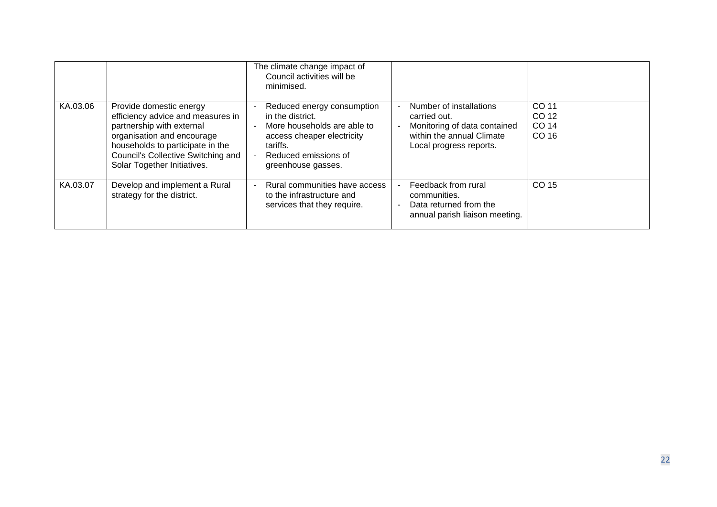|          |                                                                                                                                                                                                                                  | The climate change impact of<br>Council activities will be<br>minimised.                                                                                              |                                                                                                                                 |                                  |
|----------|----------------------------------------------------------------------------------------------------------------------------------------------------------------------------------------------------------------------------------|-----------------------------------------------------------------------------------------------------------------------------------------------------------------------|---------------------------------------------------------------------------------------------------------------------------------|----------------------------------|
| KA.03.06 | Provide domestic energy<br>efficiency advice and measures in<br>partnership with external<br>organisation and encourage<br>households to participate in the<br>Council's Collective Switching and<br>Solar Together Initiatives. | Reduced energy consumption<br>in the district.<br>More households are able to<br>access cheaper electricity<br>tariffs.<br>Reduced emissions of<br>greenhouse gasses. | Number of installations<br>carried out.<br>Monitoring of data contained<br>within the annual Climate<br>Local progress reports. | CO 11<br>CO 12<br>CO 14<br>CO 16 |
| KA.03.07 | Develop and implement a Rural<br>strategy for the district.                                                                                                                                                                      | Rural communities have access<br>to the infrastructure and<br>services that they require.                                                                             | Feedback from rural<br>communities.<br>Data returned from the<br>$\overline{a}$<br>annual parish liaison meeting.               | CO 15                            |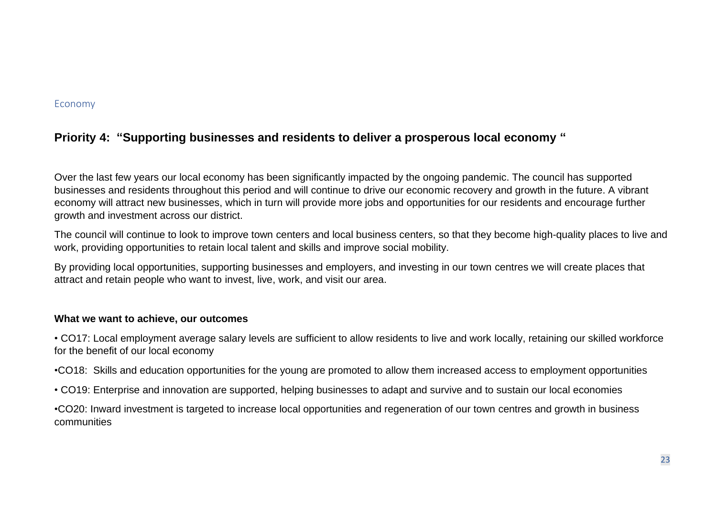#### <span id="page-22-0"></span>Economy

# **Priority 4: "Supporting businesses and residents to deliver a prosperous local economy "**

Over the last few years our local economy has been significantly impacted by the ongoing pandemic. The council has supported businesses and residents throughout this period and will continue to drive our economic recovery and growth in the future. A vibrant economy will attract new businesses, which in turn will provide more jobs and opportunities for our residents and encourage further growth and investment across our district.

The council will continue to look to improve town centers and local business centers, so that they become high-quality places to live and work, providing opportunities to retain local talent and skills and improve social mobility.

By providing local opportunities, supporting businesses and employers, and investing in our town centres we will create places that attract and retain people who want to invest, live, work, and visit our area.

#### **What we want to achieve, our outcomes**

• CO17: Local employment average salary levels are sufficient to allow residents to live and work locally, retaining our skilled workforce for the benefit of our local economy

•CO18: Skills and education opportunities for the young are promoted to allow them increased access to employment opportunities

• CO19: Enterprise and innovation are supported, helping businesses to adapt and survive and to sustain our local economies

•CO20: Inward investment is targeted to increase local opportunities and regeneration of our town centres and growth in business communities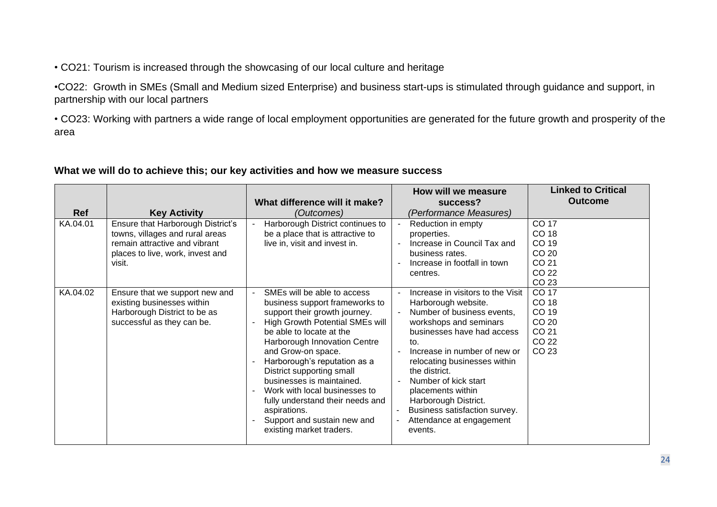• CO21: Tourism is increased through the showcasing of our local culture and heritage

•CO22: Growth in SMEs (Small and Medium sized Enterprise) and business start-ups is stimulated through guidance and support, in partnership with our local partners

• CO23: Working with partners a wide range of local employment opportunities are generated for the future growth and prosperity of the area

### **What we will do to achieve this; our key activities and how we measure success**

|            |                                                                                                                                                     |                                                                                                                                                                                                                                                                                                                                                                                                                                                                      | How will we measure                                                                                                                                                                                                                                                                                                                                                                                   | <b>Linked to Critical</b>                                   |
|------------|-----------------------------------------------------------------------------------------------------------------------------------------------------|----------------------------------------------------------------------------------------------------------------------------------------------------------------------------------------------------------------------------------------------------------------------------------------------------------------------------------------------------------------------------------------------------------------------------------------------------------------------|-------------------------------------------------------------------------------------------------------------------------------------------------------------------------------------------------------------------------------------------------------------------------------------------------------------------------------------------------------------------------------------------------------|-------------------------------------------------------------|
|            |                                                                                                                                                     | What difference will it make?                                                                                                                                                                                                                                                                                                                                                                                                                                        | success?                                                                                                                                                                                                                                                                                                                                                                                              | <b>Outcome</b>                                              |
| <b>Ref</b> | <b>Key Activity</b>                                                                                                                                 | (Outcomes)                                                                                                                                                                                                                                                                                                                                                                                                                                                           | (Performance Measures)                                                                                                                                                                                                                                                                                                                                                                                |                                                             |
| KA.04.01   | Ensure that Harborough District's<br>towns, villages and rural areas<br>remain attractive and vibrant<br>places to live, work, invest and<br>visit. | Harborough District continues to<br>be a place that is attractive to<br>live in, visit and invest in.                                                                                                                                                                                                                                                                                                                                                                | Reduction in empty<br>properties.<br>Increase in Council Tax and<br>business rates.<br>Increase in footfall in town<br>centres.                                                                                                                                                                                                                                                                       | CO 17<br>CO 18<br>CO 19<br>CO 20<br>CO 21<br>CO 22<br>CO 23 |
| KA.04.02   | Ensure that we support new and<br>existing businesses within<br>Harborough District to be as<br>successful as they can be.                          | SMEs will be able to access<br>business support frameworks to<br>support their growth journey.<br><b>High Growth Potential SMEs will</b><br>be able to locate at the<br>Harborough Innovation Centre<br>and Grow-on space.<br>Harborough's reputation as a<br>District supporting small<br>businesses is maintained.<br>Work with local businesses to<br>fully understand their needs and<br>aspirations.<br>Support and sustain new and<br>existing market traders. | Increase in visitors to the Visit<br>$\blacksquare$<br>Harborough website.<br>Number of business events,<br>workshops and seminars<br>businesses have had access<br>to.<br>Increase in number of new or<br>relocating businesses within<br>the district.<br>Number of kick start<br>placements within<br>Harborough District.<br>Business satisfaction survey.<br>Attendance at engagement<br>events. | CO 17<br>CO 18<br>CO 19<br>CO 20<br>CO 21<br>CO 22<br>CO 23 |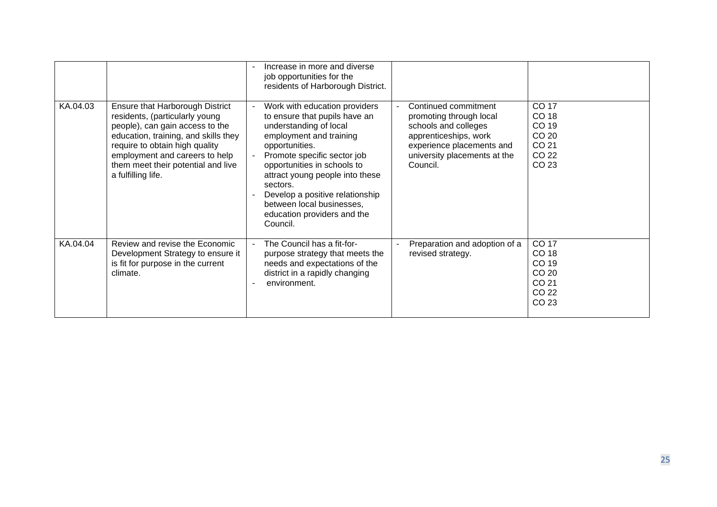|          |                                                                                                                                                                                                                                                                              | Increase in more and diverse<br>job opportunities for the<br>residents of Harborough District.                                                                                                                                                                                                                                                                |                                                                                                                                                                           |                                                             |
|----------|------------------------------------------------------------------------------------------------------------------------------------------------------------------------------------------------------------------------------------------------------------------------------|---------------------------------------------------------------------------------------------------------------------------------------------------------------------------------------------------------------------------------------------------------------------------------------------------------------------------------------------------------------|---------------------------------------------------------------------------------------------------------------------------------------------------------------------------|-------------------------------------------------------------|
| KA.04.03 | Ensure that Harborough District<br>residents, (particularly young<br>people), can gain access to the<br>education, training, and skills they<br>require to obtain high quality<br>employment and careers to help<br>them meet their potential and live<br>a fulfilling life. | Work with education providers<br>to ensure that pupils have an<br>understanding of local<br>employment and training<br>opportunities.<br>Promote specific sector job<br>opportunities in schools to<br>attract young people into these<br>sectors.<br>Develop a positive relationship<br>between local businesses,<br>education providers and the<br>Council. | Continued commitment<br>promoting through local<br>schools and colleges<br>apprenticeships, work<br>experience placements and<br>university placements at the<br>Council. | CO 17<br>CO 18<br>CO 19<br>CO 20<br>CO 21<br>CO 22<br>CO 23 |
| KA.04.04 | Review and revise the Economic<br>Development Strategy to ensure it<br>is fit for purpose in the current<br>climate.                                                                                                                                                         | The Council has a fit-for-<br>purpose strategy that meets the<br>needs and expectations of the<br>district in a rapidly changing<br>environment.                                                                                                                                                                                                              | Preparation and adoption of a<br>revised strategy.                                                                                                                        | CO 17<br>CO 18<br>CO 19<br>CO 20<br>CO 21<br>CO 22<br>CO 23 |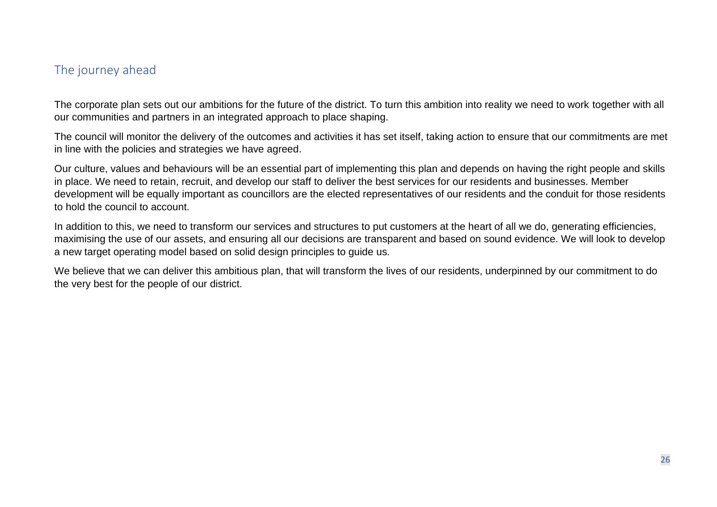## <span id="page-25-0"></span>The journey ahead

The corporate plan sets out our ambitions for the future of the district. To turn this ambition into reality we need to work together with all our communities and partners in an integrated approach to place shaping.

The council will monitor the delivery of the outcomes and activities it has set itself, taking action to ensure that our commitments are met in line with the policies and strategies we have agreed.

Our culture, values and behaviours will be an essential part of implementing this plan and depends on having the right people and skills in place. We need to retain, recruit, and develop our staff to deliver the best services for our residents and businesses. Member development will be equally important as councillors are the elected representatives of our residents and the conduit for those residents to hold the council to account.

In addition to this, we need to transform our services and structures to put customers at the heart of all we do, generating efficiencies, maximising the use of our assets, and ensuring all our decisions are transparent and based on sound evidence. We will look to develop a new target operating model based on solid design principles to guide us.

We believe that we can deliver this ambitious plan, that will transform the lives of our residents, underpinned by our commitment to do the very best for the people of our district.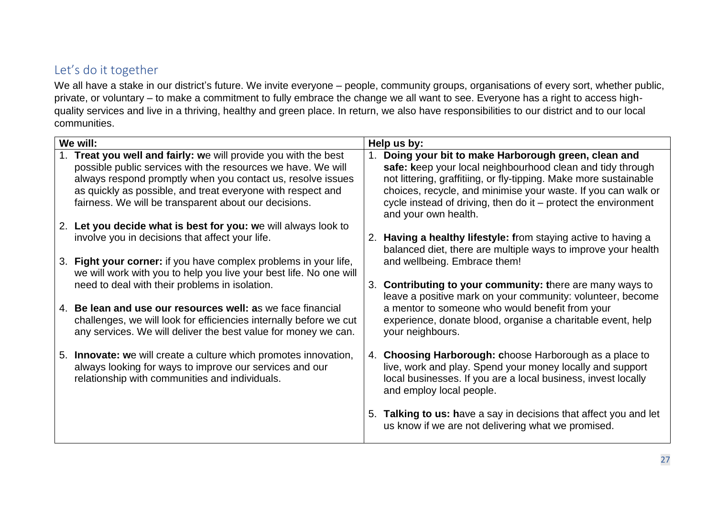# <span id="page-26-0"></span>Let's do it together

We all have a stake in our district's future. We invite everyone – people, community groups, organisations of every sort, whether public, private, or voluntary – to make a commitment to fully embrace the change we all want to see. Everyone has a right to access highquality services and live in a thriving, healthy and green place. In return, we also have responsibilities to our district and to our local communities.

| We will: |                                                                                                                                                                                                                                                                                                                     | Help us by: |                                                                                                                                                                                                                                                                                                                                                     |  |
|----------|---------------------------------------------------------------------------------------------------------------------------------------------------------------------------------------------------------------------------------------------------------------------------------------------------------------------|-------------|-----------------------------------------------------------------------------------------------------------------------------------------------------------------------------------------------------------------------------------------------------------------------------------------------------------------------------------------------------|--|
|          | Treat you well and fairly: we will provide you with the best<br>possible public services with the resources we have. We will<br>always respond promptly when you contact us, resolve issues<br>as quickly as possible, and treat everyone with respect and<br>fairness. We will be transparent about our decisions. |             | 1. Doing your bit to make Harborough green, clean and<br>safe: keep your local neighbourhood clean and tidy through<br>not littering, graffitiing, or fly-tipping. Make more sustainable<br>choices, recycle, and minimise your waste. If you can walk or<br>cycle instead of driving, then do it – protect the environment<br>and your own health. |  |
|          | 2. Let you decide what is best for you: we will always look to<br>involve you in decisions that affect your life.                                                                                                                                                                                                   |             | Having a healthy lifestyle: from staying active to having a<br>balanced diet, there are multiple ways to improve your health                                                                                                                                                                                                                        |  |
| 3.       | Fight your corner: if you have complex problems in your life,<br>we will work with you to help you live your best life. No one will<br>need to deal with their problems in isolation.                                                                                                                               |             | and wellbeing. Embrace them!<br>3. Contributing to your community: there are many ways to                                                                                                                                                                                                                                                           |  |
|          | 4. Be lean and use our resources well: as we face financial<br>challenges, we will look for efficiencies internally before we cut<br>any services. We will deliver the best value for money we can.                                                                                                                 |             | leave a positive mark on your community: volunteer, become<br>a mentor to someone who would benefit from your<br>experience, donate blood, organise a charitable event, help<br>your neighbours.                                                                                                                                                    |  |
|          | 5. <b>Innovate:</b> we will create a culture which promotes innovation,<br>always looking for ways to improve our services and our<br>relationship with communities and individuals.                                                                                                                                |             | 4. Choosing Harborough: choose Harborough as a place to<br>live, work and play. Spend your money locally and support<br>local businesses. If you are a local business, invest locally<br>and employ local people.                                                                                                                                   |  |
|          |                                                                                                                                                                                                                                                                                                                     |             | 5. Talking to us: have a say in decisions that affect you and let<br>us know if we are not delivering what we promised.                                                                                                                                                                                                                             |  |